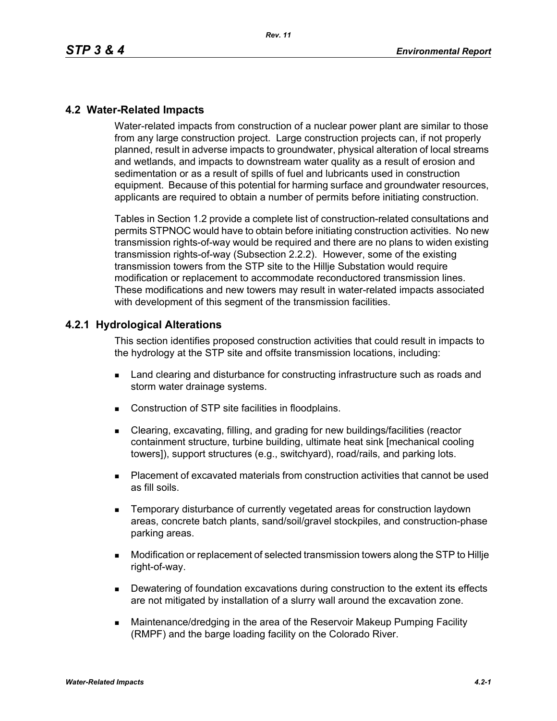### **4.2 Water-Related Impacts**

Water-related impacts from construction of a nuclear power plant are similar to those from any large construction project. Large construction projects can, if not properly planned, result in adverse impacts to groundwater, physical alteration of local streams and wetlands, and impacts to downstream water quality as a result of erosion and sedimentation or as a result of spills of fuel and lubricants used in construction equipment. Because of this potential for harming surface and groundwater resources, applicants are required to obtain a number of permits before initiating construction.

Tables in Section 1.2 provide a complete list of construction-related consultations and permits STPNOC would have to obtain before initiating construction activities. No new transmission rights-of-way would be required and there are no plans to widen existing transmission rights-of-way (Subsection 2.2.2). However, some of the existing transmission towers from the STP site to the Hillje Substation would require modification or replacement to accommodate reconductored transmission lines. These modifications and new towers may result in water-related impacts associated with development of this segment of the transmission facilities.

#### **4.2.1 Hydrological Alterations**

This section identifies proposed construction activities that could result in impacts to the hydrology at the STP site and offsite transmission locations, including:

- **EXEC** Land clearing and disturbance for constructing infrastructure such as roads and storm water drainage systems.
- Construction of STP site facilities in floodplains.
- Clearing, excavating, filling, and grading for new buildings/facilities (reactor containment structure, turbine building, ultimate heat sink [mechanical cooling towers]), support structures (e.g., switchyard), road/rails, and parking lots.
- Placement of excavated materials from construction activities that cannot be used as fill soils.
- **EXECTE TEMPORARY DISTINGUION CONSTRANGED META** TEMPORATION IS THE MOVING THE TEMPORARY TEMPORANGED **TEMPORAGHLY** areas, concrete batch plants, sand/soil/gravel stockpiles, and construction-phase parking areas.
- Modification or replacement of selected transmission towers along the STP to Hillje right-of-way.
- **Dewatering of foundation excavations during construction to the extent its effects** are not mitigated by installation of a slurry wall around the excavation zone.
- Maintenance/dredging in the area of the Reservoir Makeup Pumping Facility (RMPF) and the barge loading facility on the Colorado River.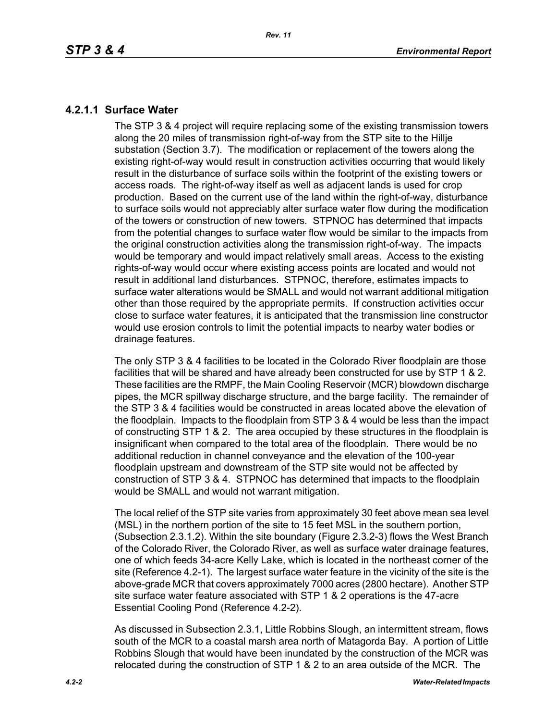### **4.2.1.1 Surface Water**

The STP 3 & 4 project will require replacing some of the existing transmission towers along the 20 miles of transmission right-of-way from the STP site to the Hillje substation (Section 3.7). The modification or replacement of the towers along the existing right-of-way would result in construction activities occurring that would likely result in the disturbance of surface soils within the footprint of the existing towers or access roads. The right-of-way itself as well as adjacent lands is used for crop production. Based on the current use of the land within the right-of-way, disturbance to surface soils would not appreciably alter surface water flow during the modification of the towers or construction of new towers. STPNOC has determined that impacts from the potential changes to surface water flow would be similar to the impacts from the original construction activities along the transmission right-of-way. The impacts would be temporary and would impact relatively small areas. Access to the existing rights-of-way would occur where existing access points are located and would not result in additional land disturbances. STPNOC, therefore, estimates impacts to surface water alterations would be SMALL and would not warrant additional mitigation other than those required by the appropriate permits. If construction activities occur close to surface water features, it is anticipated that the transmission line constructor would use erosion controls to limit the potential impacts to nearby water bodies or drainage features.

The only STP 3 & 4 facilities to be located in the Colorado River floodplain are those facilities that will be shared and have already been constructed for use by STP 1 & 2. These facilities are the RMPF, the Main Cooling Reservoir (MCR) blowdown discharge pipes, the MCR spillway discharge structure, and the barge facility. The remainder of the STP 3 & 4 facilities would be constructed in areas located above the elevation of the floodplain. Impacts to the floodplain from STP 3 & 4 would be less than the impact of constructing STP 1 & 2. The area occupied by these structures in the floodplain is insignificant when compared to the total area of the floodplain. There would be no additional reduction in channel conveyance and the elevation of the 100-year floodplain upstream and downstream of the STP site would not be affected by construction of STP 3 & 4. STPNOC has determined that impacts to the floodplain would be SMALL and would not warrant mitigation.

The local relief of the STP site varies from approximately 30 feet above mean sea level (MSL) in the northern portion of the site to 15 feet MSL in the southern portion, (Subsection 2.3.1.2). Within the site boundary (Figure 2.3.2-3) flows the West Branch of the Colorado River, the Colorado River, as well as surface water drainage features, one of which feeds 34-acre Kelly Lake, which is located in the northeast corner of the site (Reference 4.2-1). The largest surface water feature in the vicinity of the site is the above-grade MCR that covers approximately 7000 acres (2800 hectare). Another STP site surface water feature associated with STP 1 & 2 operations is the 47-acre Essential Cooling Pond (Reference 4.2-2).

As discussed in Subsection 2.3.1, Little Robbins Slough, an intermittent stream, flows south of the MCR to a coastal marsh area north of Matagorda Bay. A portion of Little Robbins Slough that would have been inundated by the construction of the MCR was relocated during the construction of STP 1 & 2 to an area outside of the MCR. The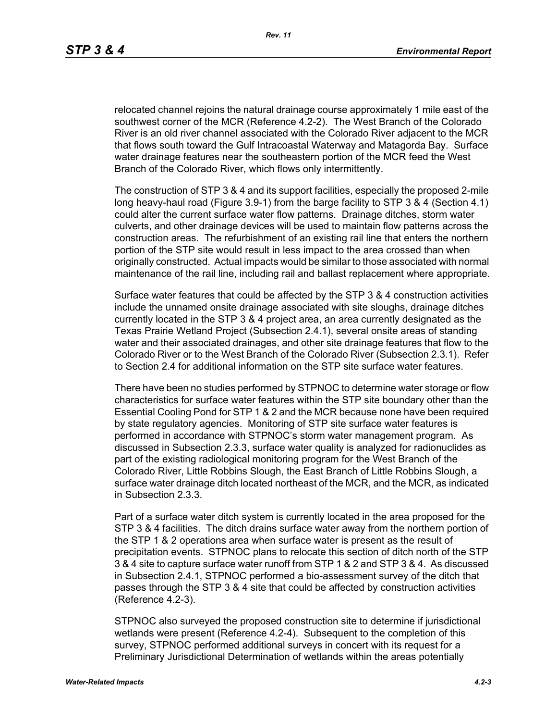relocated channel rejoins the natural drainage course approximately 1 mile east of the southwest corner of the MCR (Reference 4.2-2). The West Branch of the Colorado River is an old river channel associated with the Colorado River adjacent to the MCR that flows south toward the Gulf Intracoastal Waterway and Matagorda Bay. Surface water drainage features near the southeastern portion of the MCR feed the West Branch of the Colorado River, which flows only intermittently.

The construction of STP 3 & 4 and its support facilities, especially the proposed 2-mile long heavy-haul road (Figure 3.9-1) from the barge facility to STP 3 & 4 (Section 4.1) could alter the current surface water flow patterns. Drainage ditches, storm water culverts, and other drainage devices will be used to maintain flow patterns across the construction areas. The refurbishment of an existing rail line that enters the northern portion of the STP site would result in less impact to the area crossed than when originally constructed. Actual impacts would be similar to those associated with normal maintenance of the rail line, including rail and ballast replacement where appropriate.

Surface water features that could be affected by the STP 3 & 4 construction activities include the unnamed onsite drainage associated with site sloughs, drainage ditches currently located in the STP 3 & 4 project area, an area currently designated as the Texas Prairie Wetland Project (Subsection 2.4.1), several onsite areas of standing water and their associated drainages, and other site drainage features that flow to the Colorado River or to the West Branch of the Colorado River (Subsection 2.3.1). Refer to Section 2.4 for additional information on the STP site surface water features.

There have been no studies performed by STPNOC to determine water storage or flow characteristics for surface water features within the STP site boundary other than the Essential Cooling Pond for STP 1 & 2 and the MCR because none have been required by state regulatory agencies. Monitoring of STP site surface water features is performed in accordance with STPNOC's storm water management program. As discussed in Subsection 2.3.3, surface water quality is analyzed for radionuclides as part of the existing radiological monitoring program for the West Branch of the Colorado River, Little Robbins Slough, the East Branch of Little Robbins Slough, a surface water drainage ditch located northeast of the MCR, and the MCR, as indicated in Subsection 2.3.3.

Part of a surface water ditch system is currently located in the area proposed for the STP 3 & 4 facilities. The ditch drains surface water away from the northern portion of the STP 1 & 2 operations area when surface water is present as the result of precipitation events. STPNOC plans to relocate this section of ditch north of the STP 3 & 4 site to capture surface water runoff from STP 1 & 2 and STP 3 & 4. As discussed in Subsection 2.4.1, STPNOC performed a bio-assessment survey of the ditch that passes through the STP 3 & 4 site that could be affected by construction activities (Reference 4.2-3).

STPNOC also surveyed the proposed construction site to determine if jurisdictional wetlands were present (Reference 4.2-4). Subsequent to the completion of this survey, STPNOC performed additional surveys in concert with its request for a Preliminary Jurisdictional Determination of wetlands within the areas potentially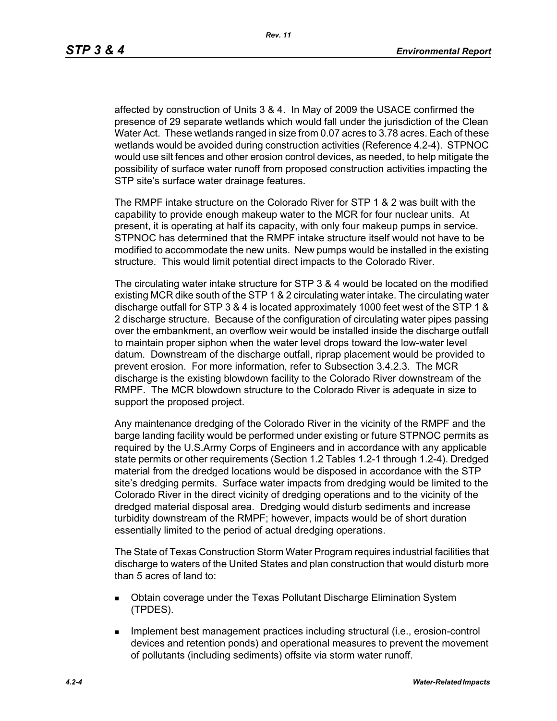affected by construction of Units 3 & 4. In May of 2009 the USACE confirmed the presence of 29 separate wetlands which would fall under the jurisdiction of the Clean Water Act. These wetlands ranged in size from 0.07 acres to 3.78 acres. Each of these wetlands would be avoided during construction activities (Reference 4.2-4). STPNOC would use silt fences and other erosion control devices, as needed, to help mitigate the possibility of surface water runoff from proposed construction activities impacting the STP site's surface water drainage features.

The RMPF intake structure on the Colorado River for STP 1 & 2 was built with the capability to provide enough makeup water to the MCR for four nuclear units. At present, it is operating at half its capacity, with only four makeup pumps in service. STPNOC has determined that the RMPF intake structure itself would not have to be modified to accommodate the new units. New pumps would be installed in the existing structure. This would limit potential direct impacts to the Colorado River.

The circulating water intake structure for STP 3 & 4 would be located on the modified existing MCR dike south of the STP 1 & 2 circulating water intake. The circulating water discharge outfall for STP 3 & 4 is located approximately 1000 feet west of the STP 1 & 2 discharge structure. Because of the configuration of circulating water pipes passing over the embankment, an overflow weir would be installed inside the discharge outfall to maintain proper siphon when the water level drops toward the low-water level datum. Downstream of the discharge outfall, riprap placement would be provided to prevent erosion. For more information, refer to Subsection 3.4.2.3. The MCR discharge is the existing blowdown facility to the Colorado River downstream of the RMPF. The MCR blowdown structure to the Colorado River is adequate in size to support the proposed project.

Any maintenance dredging of the Colorado River in the vicinity of the RMPF and the barge landing facility would be performed under existing or future STPNOC permits as required by the U.S.Army Corps of Engineers and in accordance with any applicable state permits or other requirements (Section 1.2 Tables 1.2-1 through 1.2-4). Dredged material from the dredged locations would be disposed in accordance with the STP site's dredging permits. Surface water impacts from dredging would be limited to the Colorado River in the direct vicinity of dredging operations and to the vicinity of the dredged material disposal area. Dredging would disturb sediments and increase turbidity downstream of the RMPF; however, impacts would be of short duration essentially limited to the period of actual dredging operations.

The State of Texas Construction Storm Water Program requires industrial facilities that discharge to waters of the United States and plan construction that would disturb more than 5 acres of land to:

- Obtain coverage under the Texas Pollutant Discharge Elimination System (TPDES).
- **IMPLEMENT MANAGEMENT EXAMPLE THE IMPLEMENT INCORDIT IN THE IMPLEMENT INCORDENT INCORDIT IN THE IMPLEMENT INCORDIT IN THE IMPLEMENT INCORDENT INCORDITION** devices and retention ponds) and operational measures to prevent the movement of pollutants (including sediments) offsite via storm water runoff.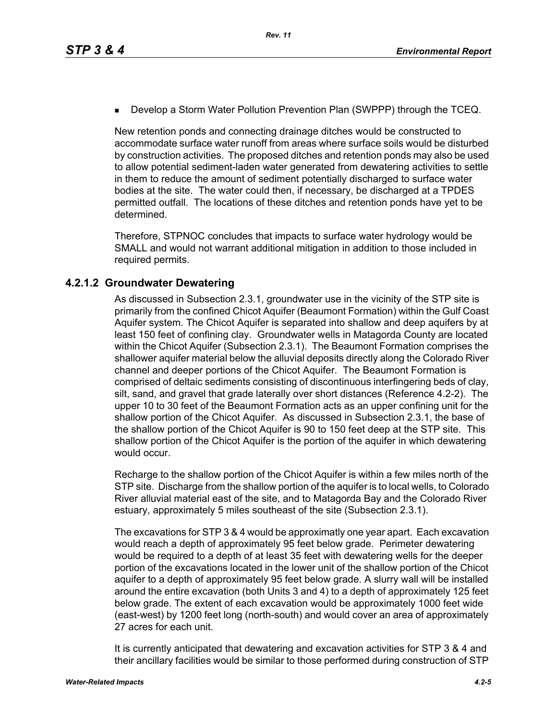**Develop a Storm Water Pollution Prevention Plan (SWPPP) through the TCEQ.** 

New retention ponds and connecting drainage ditches would be constructed to accommodate surface water runoff from areas where surface soils would be disturbed by construction activities. The proposed ditches and retention ponds may also be used to allow potential sediment-laden water generated from dewatering activities to settle in them to reduce the amount of sediment potentially discharged to surface water bodies at the site. The water could then, if necessary, be discharged at a TPDES permitted outfall. The locations of these ditches and retention ponds have yet to be determined.

Therefore, STPNOC concludes that impacts to surface water hydrology would be SMALL and would not warrant additional mitigation in addition to those included in required permits.

# **4.2.1.2 Groundwater Dewatering**

As discussed in Subsection 2.3.1, groundwater use in the vicinity of the STP site is primarily from the confined Chicot Aquifer (Beaumont Formation) within the Gulf Coast Aquifer system. The Chicot Aquifer is separated into shallow and deep aquifers by at least 150 feet of confining clay. Groundwater wells in Matagorda County are located within the Chicot Aquifer (Subsection 2.3.1). The Beaumont Formation comprises the shallower aquifer material below the alluvial deposits directly along the Colorado River channel and deeper portions of the Chicot Aquifer. The Beaumont Formation is comprised of deltaic sediments consisting of discontinuous interfingering beds of clay, silt, sand, and gravel that grade laterally over short distances (Reference 4.2-2). The upper 10 to 30 feet of the Beaumont Formation acts as an upper confining unit for the shallow portion of the Chicot Aquifer. As discussed in Subsection 2.3.1, the base of the shallow portion of the Chicot Aquifer is 90 to 150 feet deep at the STP site. This shallow portion of the Chicot Aquifer is the portion of the aquifer in which dewatering would occur.

Recharge to the shallow portion of the Chicot Aquifer is within a few miles north of the STP site. Discharge from the shallow portion of the aquifer is to local wells, to Colorado River alluvial material east of the site, and to Matagorda Bay and the Colorado River estuary, approximately 5 miles southeast of the site (Subsection 2.3.1).

The excavations for STP 3 & 4 would be approximatly one year apart. Each excavation would reach a depth of approximately 95 feet below grade. Perimeter dewatering would be required to a depth of at least 35 feet with dewatering wells for the deeper portion of the excavations located in the lower unit of the shallow portion of the Chicot aquifer to a depth of approximately 95 feet below grade. A slurry wall will be installed around the entire excavation (both Units 3 and 4) to a depth of approximately 125 feet below grade. The extent of each excavation would be approximately 1000 feet wide (east-west) by 1200 feet long (north-south) and would cover an area of approximately 27 acres for each unit.

It is currently anticipated that dewatering and excavation activities for STP 3 & 4 and their ancillary facilities would be similar to those performed during construction of STP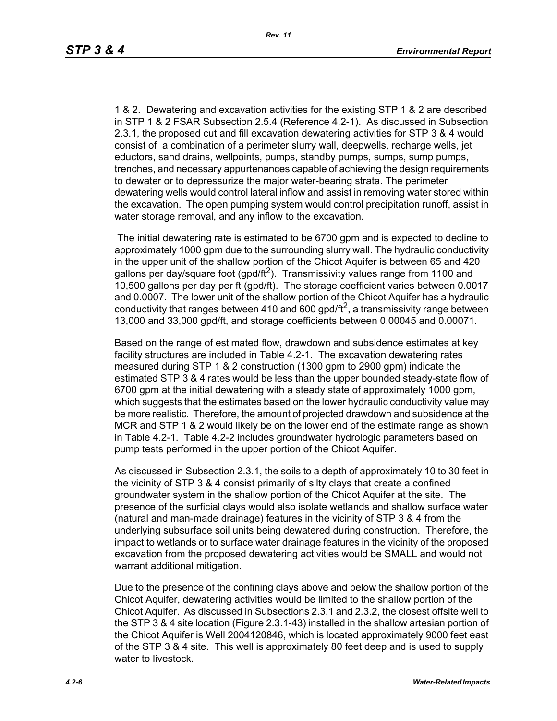1 & 2. Dewatering and excavation activities for the existing STP 1 & 2 are described in STP 1 & 2 FSAR Subsection 2.5.4 (Reference 4.2-1). As discussed in Subsection 2.3.1, the proposed cut and fill excavation dewatering activities for STP 3 & 4 would consist of a combination of a perimeter slurry wall, deepwells, recharge wells, jet eductors, sand drains, wellpoints, pumps, standby pumps, sumps, sump pumps, trenches, and necessary appurtenances capable of achieving the design requirements to dewater or to depressurize the major water-bearing strata. The perimeter dewatering wells would control lateral inflow and assist in removing water stored within the excavation. The open pumping system would control precipitation runoff, assist in water storage removal, and any inflow to the excavation.

 The initial dewatering rate is estimated to be 6700 gpm and is expected to decline to approximately 1000 gpm due to the surrounding slurry wall. The hydraulic conductivity in the upper unit of the shallow portion of the Chicot Aquifer is between 65 and 420 gallons per day/square foot (gpd/ft<sup>2</sup>). Transmissivity values range from 1100 and 10,500 gallons per day per ft (gpd/ft). The storage coefficient varies between 0.0017 and 0.0007. The lower unit of the shallow portion of the Chicot Aquifer has a hydraulic conductivity that ranges between 410 and 600 gpd/ft<sup>2</sup>, a transmissivity range between 13,000 and 33,000 gpd/ft, and storage coefficients between 0.00045 and 0.00071.

Based on the range of estimated flow, drawdown and subsidence estimates at key facility structures are included in Table 4.2-1. The excavation dewatering rates measured during STP 1 & 2 construction (1300 gpm to 2900 gpm) indicate the estimated STP 3 & 4 rates would be less than the upper bounded steady-state flow of 6700 gpm at the initial dewatering with a steady state of approximately 1000 gpm, which suggests that the estimates based on the lower hydraulic conductivity value may be more realistic. Therefore, the amount of projected drawdown and subsidence at the MCR and STP 1 & 2 would likely be on the lower end of the estimate range as shown in Table 4.2-1. Table 4.2-2 includes groundwater hydrologic parameters based on pump tests performed in the upper portion of the Chicot Aquifer.

As discussed in Subsection 2.3.1, the soils to a depth of approximately 10 to 30 feet in the vicinity of STP 3 & 4 consist primarily of silty clays that create a confined groundwater system in the shallow portion of the Chicot Aquifer at the site. The presence of the surficial clays would also isolate wetlands and shallow surface water (natural and man-made drainage) features in the vicinity of STP 3 & 4 from the underlying subsurface soil units being dewatered during construction. Therefore, the impact to wetlands or to surface water drainage features in the vicinity of the proposed excavation from the proposed dewatering activities would be SMALL and would not warrant additional mitigation.

Due to the presence of the confining clays above and below the shallow portion of the Chicot Aquifer, dewatering activities would be limited to the shallow portion of the Chicot Aquifer. As discussed in Subsections 2.3.1 and 2.3.2, the closest offsite well to the STP 3 & 4 site location (Figure 2.3.1-43) installed in the shallow artesian portion of the Chicot Aquifer is Well 2004120846, which is located approximately 9000 feet east of the STP 3 & 4 site. This well is approximately 80 feet deep and is used to supply water to livestock.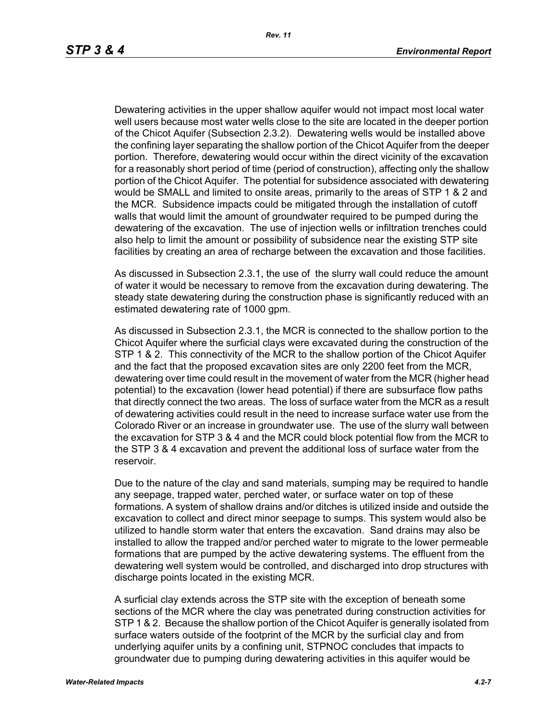Dewatering activities in the upper shallow aquifer would not impact most local water well users because most water wells close to the site are located in the deeper portion of the Chicot Aquifer (Subsection 2.3.2). Dewatering wells would be installed above the confining layer separating the shallow portion of the Chicot Aquifer from the deeper portion. Therefore, dewatering would occur within the direct vicinity of the excavation for a reasonably short period of time (period of construction), affecting only the shallow portion of the Chicot Aquifer. The potential for subsidence associated with dewatering would be SMALL and limited to onsite areas, primarily to the areas of STP 1 & 2 and the MCR. Subsidence impacts could be mitigated through the installation of cutoff walls that would limit the amount of groundwater required to be pumped during the dewatering of the excavation. The use of injection wells or infiltration trenches could also help to limit the amount or possibility of subsidence near the existing STP site facilities by creating an area of recharge between the excavation and those facilities.

As discussed in Subsection 2.3.1, the use of the slurry wall could reduce the amount of water it would be necessary to remove from the excavation during dewatering. The steady state dewatering during the construction phase is significantly reduced with an estimated dewatering rate of 1000 gpm.

As discussed in Subsection 2.3.1, the MCR is connected to the shallow portion to the Chicot Aquifer where the surficial clays were excavated during the construction of the STP 1 & 2. This connectivity of the MCR to the shallow portion of the Chicot Aquifer and the fact that the proposed excavation sites are only 2200 feet from the MCR, dewatering over time could result in the movement of water from the MCR (higher head potential) to the excavation (lower head potential) if there are subsurface flow paths that directly connect the two areas. The loss of surface water from the MCR as a result of dewatering activities could result in the need to increase surface water use from the Colorado River or an increase in groundwater use. The use of the slurry wall between the excavation for STP 3 & 4 and the MCR could block potential flow from the MCR to the STP 3 & 4 excavation and prevent the additional loss of surface water from the reservoir.

Due to the nature of the clay and sand materials, sumping may be required to handle any seepage, trapped water, perched water, or surface water on top of these formations. A system of shallow drains and/or ditches is utilized inside and outside the excavation to collect and direct minor seepage to sumps. This system would also be utilized to handle storm water that enters the excavation. Sand drains may also be installed to allow the trapped and/or perched water to migrate to the lower permeable formations that are pumped by the active dewatering systems. The effluent from the dewatering well system would be controlled, and discharged into drop structures with discharge points located in the existing MCR.

A surficial clay extends across the STP site with the exception of beneath some sections of the MCR where the clay was penetrated during construction activities for STP 1 & 2. Because the shallow portion of the Chicot Aquifer is generally isolated from surface waters outside of the footprint of the MCR by the surficial clay and from underlying aquifer units by a confining unit, STPNOC concludes that impacts to groundwater due to pumping during dewatering activities in this aquifer would be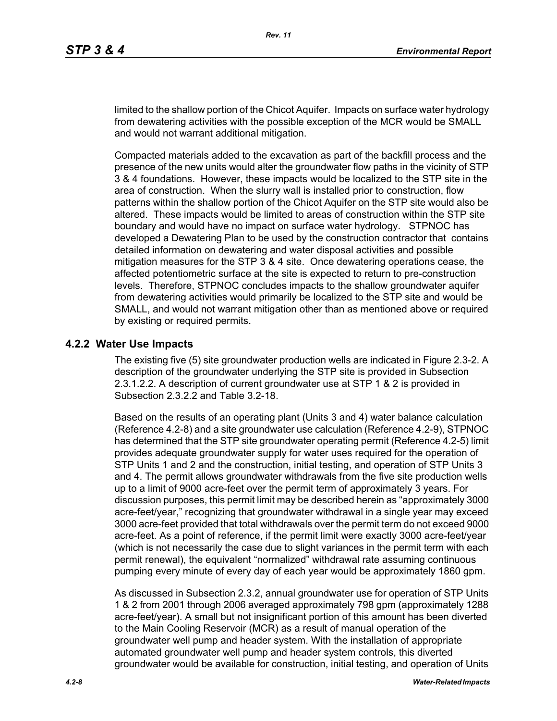limited to the shallow portion of the Chicot Aquifer. Impacts on surface water hydrology from dewatering activities with the possible exception of the MCR would be SMALL and would not warrant additional mitigation.

Compacted materials added to the excavation as part of the backfill process and the presence of the new units would alter the groundwater flow paths in the vicinity of STP 3 & 4 foundations. However, these impacts would be localized to the STP site in the area of construction. When the slurry wall is installed prior to construction, flow patterns within the shallow portion of the Chicot Aquifer on the STP site would also be altered. These impacts would be limited to areas of construction within the STP site boundary and would have no impact on surface water hydrology. STPNOC has developed a Dewatering Plan to be used by the construction contractor that contains detailed information on dewatering and water disposal activities and possible mitigation measures for the STP 3 & 4 site. Once dewatering operations cease, the affected potentiometric surface at the site is expected to return to pre-construction levels. Therefore, STPNOC concludes impacts to the shallow groundwater aquifer from dewatering activities would primarily be localized to the STP site and would be SMALL, and would not warrant mitigation other than as mentioned above or required by existing or required permits.

#### **4.2.2 Water Use Impacts**

The existing five (5) site groundwater production wells are indicated in Figure 2.3-2. A description of the groundwater underlying the STP site is provided in Subsection 2.3.1.2.2. A description of current groundwater use at STP 1 & 2 is provided in Subsection 2.3.2.2 and Table 3.2-18.

Based on the results of an operating plant (Units 3 and 4) water balance calculation (Reference 4.2-8) and a site groundwater use calculation (Reference 4.2-9), STPNOC has determined that the STP site groundwater operating permit (Reference 4.2-5) limit provides adequate groundwater supply for water uses required for the operation of STP Units 1 and 2 and the construction, initial testing, and operation of STP Units 3 and 4. The permit allows groundwater withdrawals from the five site production wells up to a limit of 9000 acre-feet over the permit term of approximately 3 years. For discussion purposes, this permit limit may be described herein as "approximately 3000 acre-feet/year," recognizing that groundwater withdrawal in a single year may exceed 3000 acre-feet provided that total withdrawals over the permit term do not exceed 9000 acre-feet. As a point of reference, if the permit limit were exactly 3000 acre-feet/year (which is not necessarily the case due to slight variances in the permit term with each permit renewal), the equivalent "normalized" withdrawal rate assuming continuous pumping every minute of every day of each year would be approximately 1860 gpm.

As discussed in Subsection 2.3.2, annual groundwater use for operation of STP Units 1 & 2 from 2001 through 2006 averaged approximately 798 gpm (approximately 1288 acre-feet/year). A small but not insignificant portion of this amount has been diverted to the Main Cooling Reservoir (MCR) as a result of manual operation of the groundwater well pump and header system. With the installation of appropriate automated groundwater well pump and header system controls, this diverted groundwater would be available for construction, initial testing, and operation of Units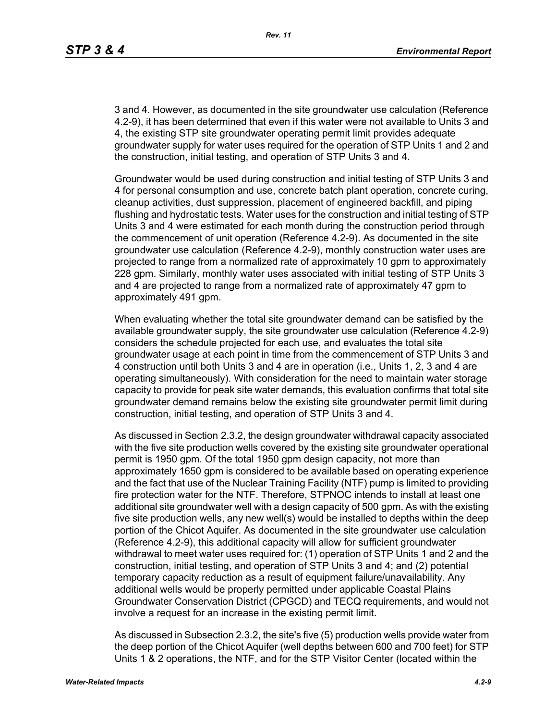3 and 4. However, as documented in the site groundwater use calculation (Reference 4.2-9), it has been determined that even if this water were not available to Units 3 and 4, the existing STP site groundwater operating permit limit provides adequate groundwater supply for water uses required for the operation of STP Units 1 and 2 and the construction, initial testing, and operation of STP Units 3 and 4.

Groundwater would be used during construction and initial testing of STP Units 3 and 4 for personal consumption and use, concrete batch plant operation, concrete curing, cleanup activities, dust suppression, placement of engineered backfill, and piping flushing and hydrostatic tests. Water uses for the construction and initial testing of STP Units 3 and 4 were estimated for each month during the construction period through the commencement of unit operation (Reference 4.2-9). As documented in the site groundwater use calculation (Reference 4.2-9), monthly construction water uses are projected to range from a normalized rate of approximately 10 gpm to approximately 228 gpm. Similarly, monthly water uses associated with initial testing of STP Units 3 and 4 are projected to range from a normalized rate of approximately 47 gpm to approximately 491 gpm.

When evaluating whether the total site groundwater demand can be satisfied by the available groundwater supply, the site groundwater use calculation (Reference 4.2-9) considers the schedule projected for each use, and evaluates the total site groundwater usage at each point in time from the commencement of STP Units 3 and 4 construction until both Units 3 and 4 are in operation (i.e., Units 1, 2, 3 and 4 are operating simultaneously). With consideration for the need to maintain water storage capacity to provide for peak site water demands, this evaluation confirms that total site groundwater demand remains below the existing site groundwater permit limit during construction, initial testing, and operation of STP Units 3 and 4.

As discussed in Section 2.3.2, the design groundwater withdrawal capacity associated with the five site production wells covered by the existing site groundwater operational permit is 1950 gpm. Of the total 1950 gpm design capacity, not more than approximately 1650 gpm is considered to be available based on operating experience and the fact that use of the Nuclear Training Facility (NTF) pump is limited to providing fire protection water for the NTF. Therefore, STPNOC intends to install at least one additional site groundwater well with a design capacity of 500 gpm. As with the existing five site production wells, any new well(s) would be installed to depths within the deep portion of the Chicot Aquifer. As documented in the site groundwater use calculation (Reference 4.2-9), this additional capacity will allow for sufficient groundwater withdrawal to meet water uses required for: (1) operation of STP Units 1 and 2 and the construction, initial testing, and operation of STP Units 3 and 4; and (2) potential temporary capacity reduction as a result of equipment failure/unavailability. Any additional wells would be properly permitted under applicable Coastal Plains Groundwater Conservation District (CPGCD) and TECQ requirements, and would not involve a request for an increase in the existing permit limit.

As discussed in Subsection 2.3.2, the site's five (5) production wells provide water from the deep portion of the Chicot Aquifer (well depths between 600 and 700 feet) for STP Units 1 & 2 operations, the NTF, and for the STP Visitor Center (located within the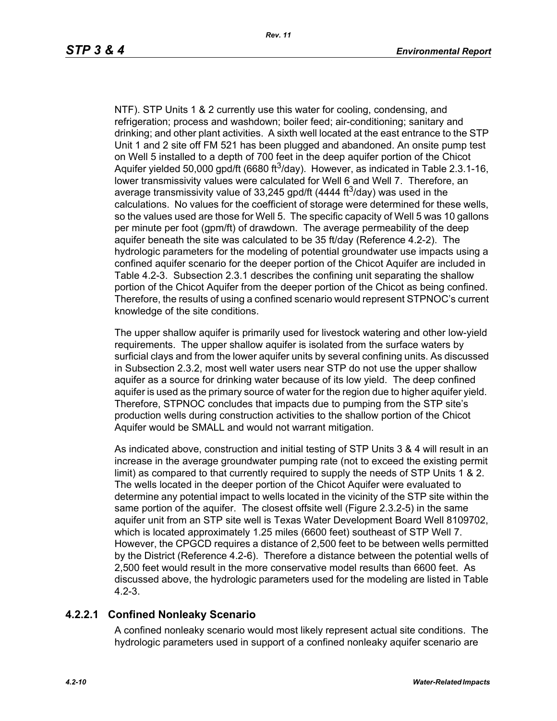NTF). STP Units 1 & 2 currently use this water for cooling, condensing, and refrigeration; process and washdown; boiler feed; air-conditioning; sanitary and drinking; and other plant activities. A sixth well located at the east entrance to the STP Unit 1 and 2 site off FM 521 has been plugged and abandoned. An onsite pump test on Well 5 installed to a depth of 700 feet in the deep aquifer portion of the Chicot Aquifer yielded 50,000 gpd/ft (6680 ft<sup>3</sup>/day). However, as indicated in Table 2.3.1-16, lower transmissivity values were calculated for Well 6 and Well 7. Therefore, an average transmissivity value of 33,245 gpd/ft (4444 ft<sup>3</sup>/day) was used in the calculations. No values for the coefficient of storage were determined for these wells, so the values used are those for Well 5. The specific capacity of Well 5 was 10 gallons per minute per foot (gpm/ft) of drawdown. The average permeability of the deep aquifer beneath the site was calculated to be 35 ft/day (Reference 4.2-2). The hydrologic parameters for the modeling of potential groundwater use impacts using a confined aquifer scenario for the deeper portion of the Chicot Aquifer are included in Table 4.2-3. Subsection 2.3.1 describes the confining unit separating the shallow portion of the Chicot Aquifer from the deeper portion of the Chicot as being confined. Therefore, the results of using a confined scenario would represent STPNOC's current knowledge of the site conditions.

The upper shallow aquifer is primarily used for livestock watering and other low-yield requirements. The upper shallow aquifer is isolated from the surface waters by surficial clays and from the lower aquifer units by several confining units. As discussed in Subsection 2.3.2, most well water users near STP do not use the upper shallow aquifer as a source for drinking water because of its low yield. The deep confined aquifer is used as the primary source of water for the region due to higher aquifer yield. Therefore, STPNOC concludes that impacts due to pumping from the STP site's production wells during construction activities to the shallow portion of the Chicot Aquifer would be SMALL and would not warrant mitigation.

As indicated above, construction and initial testing of STP Units 3 & 4 will result in an increase in the average groundwater pumping rate (not to exceed the existing permit limit) as compared to that currently required to supply the needs of STP Units 1 & 2. The wells located in the deeper portion of the Chicot Aquifer were evaluated to determine any potential impact to wells located in the vicinity of the STP site within the same portion of the aquifer. The closest offsite well (Figure 2.3.2-5) in the same aquifer unit from an STP site well is Texas Water Development Board Well 8109702, which is located approximately 1.25 miles (6600 feet) southeast of STP Well 7. However, the CPGCD requires a distance of 2,500 feet to be between wells permitted by the District (Reference 4.2-6). Therefore a distance between the potential wells of 2,500 feet would result in the more conservative model results than 6600 feet. As discussed above, the hydrologic parameters used for the modeling are listed in Table 4.2-3.

# **4.2.2.1 Confined Nonleaky Scenario**

A confined nonleaky scenario would most likely represent actual site conditions. The hydrologic parameters used in support of a confined nonleaky aquifer scenario are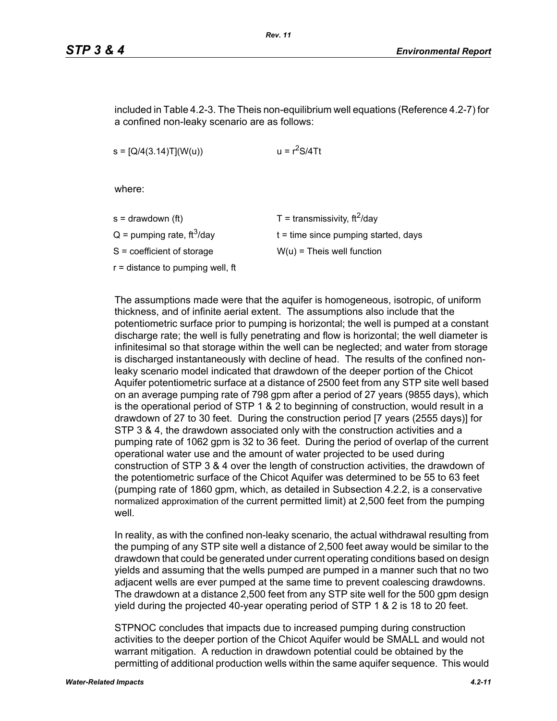included in Table 4.2-3. The Theis non-equilibrium well equations (Reference 4.2-7) for a confined non-leaky scenario are as follows:

 $s = [Q/4(3.14)T](W(u))$   $u = r<sup>2</sup>S/4Tt$ 

where:

| s = drawdown (ft)                        | T = transmissivity, $\text{ft}^2/\text{day}$ |
|------------------------------------------|----------------------------------------------|
| $Q =$ pumping rate, ft <sup>3</sup> /day | $t =$ time since pumping started, days       |
| S = coefficient of storage               | $W(u)$ = Theis well function                 |
| r = distance to pumping well, ft         |                                              |
|                                          |                                              |

The assumptions made were that the aquifer is homogeneous, isotropic, of uniform thickness, and of infinite aerial extent. The assumptions also include that the potentiometric surface prior to pumping is horizontal; the well is pumped at a constant discharge rate; the well is fully penetrating and flow is horizontal; the well diameter is infinitesimal so that storage within the well can be neglected; and water from storage is discharged instantaneously with decline of head. The results of the confined nonleaky scenario model indicated that drawdown of the deeper portion of the Chicot Aquifer potentiometric surface at a distance of 2500 feet from any STP site well based on an average pumping rate of 798 gpm after a period of 27 years (9855 days), which is the operational period of STP 1 & 2 to beginning of construction, would result in a drawdown of 27 to 30 feet. During the construction period [7 years (2555 days)] for STP 3 & 4, the drawdown associated only with the construction activities and a pumping rate of 1062 gpm is 32 to 36 feet. During the period of overlap of the current operational water use and the amount of water projected to be used during construction of STP 3 & 4 over the length of construction activities, the drawdown of the potentiometric surface of the Chicot Aquifer was determined to be 55 to 63 feet (pumping rate of 1860 gpm, which, as detailed in Subsection 4.2.2, is a conservative normalized approximation of the current permitted limit) at 2,500 feet from the pumping well

In reality, as with the confined non-leaky scenario, the actual withdrawal resulting from the pumping of any STP site well a distance of 2,500 feet away would be similar to the drawdown that could be generated under current operating conditions based on design yields and assuming that the wells pumped are pumped in a manner such that no two adjacent wells are ever pumped at the same time to prevent coalescing drawdowns. The drawdown at a distance 2,500 feet from any STP site well for the 500 gpm design yield during the projected 40-year operating period of STP 1 & 2 is 18 to 20 feet.

STPNOC concludes that impacts due to increased pumping during construction activities to the deeper portion of the Chicot Aquifer would be SMALL and would not warrant mitigation. A reduction in drawdown potential could be obtained by the permitting of additional production wells within the same aquifer sequence. This would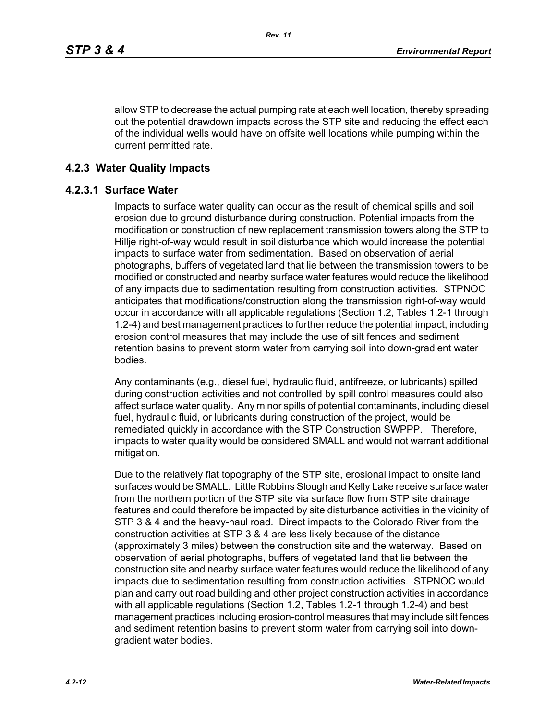allow STP to decrease the actual pumping rate at each well location, thereby spreading out the potential drawdown impacts across the STP site and reducing the effect each of the individual wells would have on offsite well locations while pumping within the current permitted rate.

#### **4.2.3 Water Quality Impacts**

#### **4.2.3.1 Surface Water**

Impacts to surface water quality can occur as the result of chemical spills and soil erosion due to ground disturbance during construction. Potential impacts from the modification or construction of new replacement transmission towers along the STP to Hillje right-of-way would result in soil disturbance which would increase the potential impacts to surface water from sedimentation. Based on observation of aerial photographs, buffers of vegetated land that lie between the transmission towers to be modified or constructed and nearby surface water features would reduce the likelihood of any impacts due to sedimentation resulting from construction activities. STPNOC anticipates that modifications/construction along the transmission right-of-way would occur in accordance with all applicable regulations (Section 1.2, Tables 1.2-1 through 1.2-4) and best management practices to further reduce the potential impact, including erosion control measures that may include the use of silt fences and sediment retention basins to prevent storm water from carrying soil into down-gradient water bodies.

Any contaminants (e.g., diesel fuel, hydraulic fluid, antifreeze, or lubricants) spilled during construction activities and not controlled by spill control measures could also affect surface water quality. Any minor spills of potential contaminants, including diesel fuel, hydraulic fluid, or lubricants during construction of the project, would be remediated quickly in accordance with the STP Construction SWPPP. Therefore, impacts to water quality would be considered SMALL and would not warrant additional mitigation.

Due to the relatively flat topography of the STP site, erosional impact to onsite land surfaces would be SMALL. Little Robbins Slough and Kelly Lake receive surface water from the northern portion of the STP site via surface flow from STP site drainage features and could therefore be impacted by site disturbance activities in the vicinity of STP 3 & 4 and the heavy-haul road. Direct impacts to the Colorado River from the construction activities at STP 3 & 4 are less likely because of the distance (approximately 3 miles) between the construction site and the waterway. Based on observation of aerial photographs, buffers of vegetated land that lie between the construction site and nearby surface water features would reduce the likelihood of any impacts due to sedimentation resulting from construction activities. STPNOC would plan and carry out road building and other project construction activities in accordance with all applicable regulations (Section 1.2, Tables 1.2-1 through 1.2-4) and best management practices including erosion-control measures that may include silt fences and sediment retention basins to prevent storm water from carrying soil into downgradient water bodies.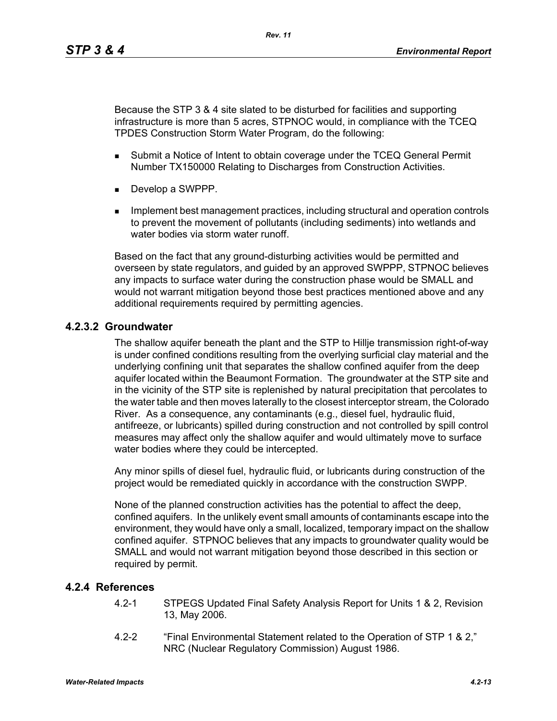Because the STP 3 & 4 site slated to be disturbed for facilities and supporting infrastructure is more than 5 acres, STPNOC would, in compliance with the TCEQ TPDES Construction Storm Water Program, do the following:

*Rev. 11*

- **Submit a Notice of Intent to obtain coverage under the TCEQ General Permit** Number TX150000 Relating to Discharges from Construction Activities.
- Develop a SWPPP.
- **IMPLEMENT MANAGEMENT MANAGEMENT CONTROLLER** Including structural and operation controls to prevent the movement of pollutants (including sediments) into wetlands and water bodies via storm water runoff

Based on the fact that any ground-disturbing activities would be permitted and overseen by state regulators, and guided by an approved SWPPP, STPNOC believes any impacts to surface water during the construction phase would be SMALL and would not warrant mitigation beyond those best practices mentioned above and any additional requirements required by permitting agencies.

### **4.2.3.2 Groundwater**

The shallow aquifer beneath the plant and the STP to Hillje transmission right-of-way is under confined conditions resulting from the overlying surficial clay material and the underlying confining unit that separates the shallow confined aquifer from the deep aquifer located within the Beaumont Formation. The groundwater at the STP site and in the vicinity of the STP site is replenished by natural precipitation that percolates to the water table and then moves laterally to the closest interceptor stream, the Colorado River. As a consequence, any contaminants (e.g., diesel fuel, hydraulic fluid, antifreeze, or lubricants) spilled during construction and not controlled by spill control measures may affect only the shallow aquifer and would ultimately move to surface water bodies where they could be intercepted.

Any minor spills of diesel fuel, hydraulic fluid, or lubricants during construction of the project would be remediated quickly in accordance with the construction SWPP.

None of the planned construction activities has the potential to affect the deep, confined aquifers. In the unlikely event small amounts of contaminants escape into the environment, they would have only a small, localized, temporary impact on the shallow confined aquifer. STPNOC believes that any impacts to groundwater quality would be SMALL and would not warrant mitigation beyond those described in this section or required by permit.

#### **4.2.4 References**

- 4.2-1 STPEGS Updated Final Safety Analysis Report for Units 1 & 2, Revision 13, May 2006.
- 4.2-2 "Final Environmental Statement related to the Operation of STP 1 & 2," NRC (Nuclear Regulatory Commission) August 1986.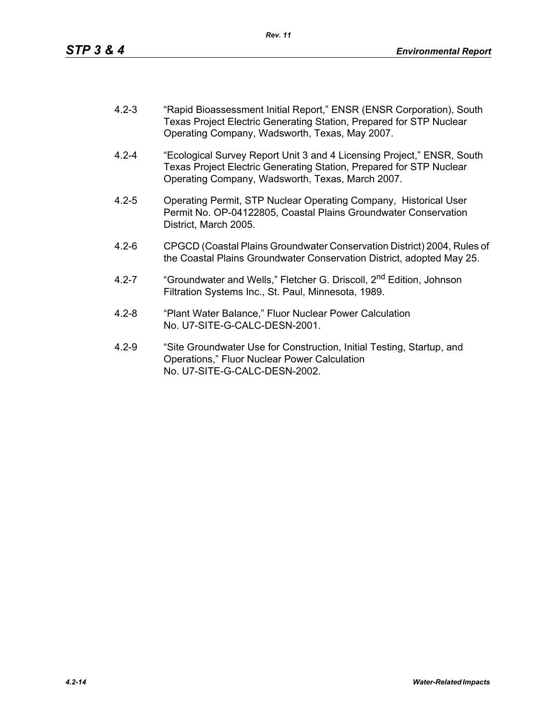- 4.2-3 "Rapid Bioassessment Initial Report," ENSR (ENSR Corporation), South Texas Project Electric Generating Station, Prepared for STP Nuclear Operating Company, Wadsworth, Texas, May 2007.
- 4.2-4 "Ecological Survey Report Unit 3 and 4 Licensing Project," ENSR, South Texas Project Electric Generating Station, Prepared for STP Nuclear Operating Company, Wadsworth, Texas, March 2007.
- 4.2-5 Operating Permit, STP Nuclear Operating Company, Historical User Permit No. OP-04122805, Coastal Plains Groundwater Conservation District, March 2005.
- 4.2-6 CPGCD (Coastal Plains Groundwater Conservation District) 2004, Rules of the Coastal Plains Groundwater Conservation District, adopted May 25.
- 4.2-7 "Groundwater and Wells," Fletcher G. Driscoll, 2<sup>nd</sup> Edition, Johnson Filtration Systems Inc., St. Paul, Minnesota, 1989.
- 4.2-8 "Plant Water Balance," Fluor Nuclear Power Calculation No. U7-SITE-G-CALC-DESN-2001.
- 4.2-9 "Site Groundwater Use for Construction, Initial Testing, Startup, and Operations," Fluor Nuclear Power Calculation No. U7-SITE-G-CALC-DESN-2002.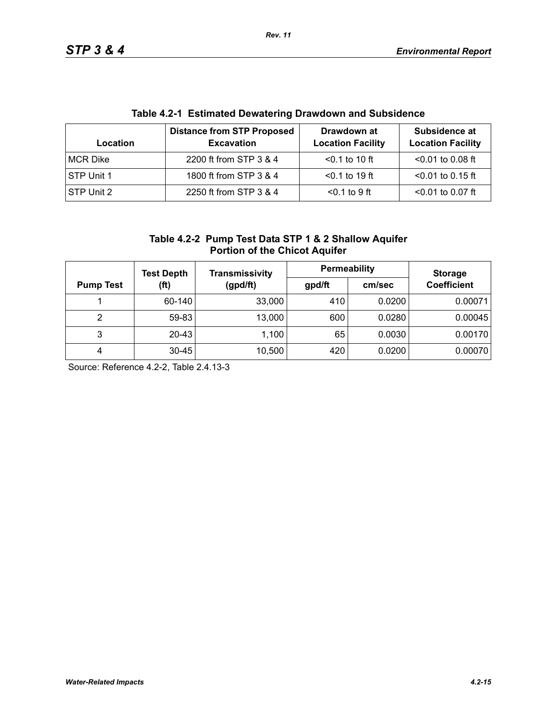| <u>rapic +.2-1 Latiniated Dewatering Diawdown and Oubsidence</u> |                                                        |                                         |                                           |  |  |
|------------------------------------------------------------------|--------------------------------------------------------|-----------------------------------------|-------------------------------------------|--|--|
| Location                                                         | <b>Distance from STP Proposed</b><br><b>Excavation</b> | Drawdown at<br><b>Location Facility</b> | Subsidence at<br><b>Location Facility</b> |  |  |
| <b>MCR Dike</b>                                                  | 2200 ft from STP 3 & 4                                 | $< 0.1$ to 10 ft                        | $< 0.01$ to 0.08 ft                       |  |  |
| STP Unit 1                                                       | 1800 ft from STP 3 & 4                                 | $< 0.1$ to 19 ft                        | $<$ 0.01 to 0.15 ft                       |  |  |
| STP Unit 2                                                       | 2250 ft from STP 3 & 4                                 | $< 0.1$ to 9 ft                         | $< 0.01$ to 0.07 ft                       |  |  |

# **Table 4.2-1 Estimated Dewatering Drawdown and Subsidence**

| Table 4.2-2 Pump Test Data STP 1 & 2 Shallow Aquifer |
|------------------------------------------------------|
| <b>Portion of the Chicot Aquifer</b>                 |

|                          | <b>Test Depth</b> | <b>Transmissivity</b> | <b>Permeability</b> |                    | <b>Storage</b> |
|--------------------------|-------------------|-----------------------|---------------------|--------------------|----------------|
| (ft)<br><b>Pump Test</b> | (gpd/ft)          | gpd/ft                | cm/sec              | <b>Coefficient</b> |                |
|                          | 60-140            | 33,000                | 410                 | 0.0200             | 0.00071        |
| 2                        | 59-83             | 13,000                | 600                 | 0.0280             | 0.00045        |
| 3                        | $20 - 43$         | 1,100                 | 65                  | 0.0030             | 0.00170        |
| 4                        | $30 - 45$         | 10,500                | 420                 | 0.0200             | 0.00070        |

Source: Reference 4.2-2, Table 2.4.13-3